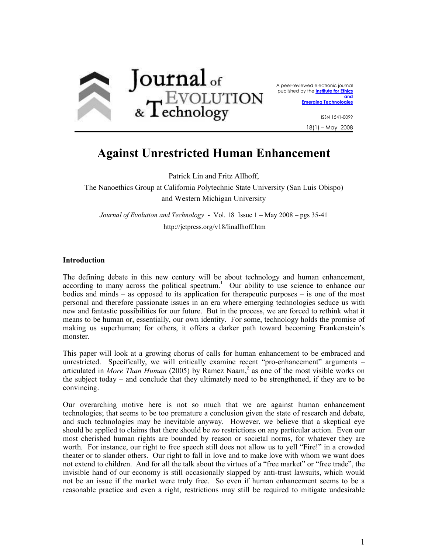

A peer-reviewed electronic journal published by the **Institute for Ethics and** 

**Emerging Technologies** 

ISSN 1541-0099 18(1) – May 2008

# **Against Unrestricted Human Enhancement**

Patrick Lin and Fritz Allhoff,

The Nanoethics Group at California Polytechnic State University (San Luis Obispo) and Western Michigan University

*Journal of Evolution and Technology* - Vol. 18 Issue 1 – May 2008 – pgs 35-41 http://jetpress.org/v18/linallhoff.htm

## **Introduction**

according to many across the political spectrum.<sup>1</sup> Our ability to use science to enhance our The defining debate in this new century will be about technology and human enhancement, bodies and minds – as opposed to its application for therapeutic purposes – is one of the most personal and therefore passionate issues in an era where emerging technologies seduce us with new and fantastic possibilities for our future. But in the process, we are forced to rethink what it means to be human or, essentially, our own identity. For some, technology holds the promise of making us superhuman; for others, it offers a darker path toward becoming Frankenstein's monster.

This paper will look at a growing chorus of calls for human enhancement to be embraced and unrestricted. Specifically, we will critically examine recent "pro-enhancement" arguments – articulated in *More Than Human* (2005) by Ramez Naam,<sup>2</sup> as one of the most visible works on the subject today – and conclude that they ultimately need to be strengthened, if they are to be convincing.

Our overarching motive here is not so much that we are against human enhancement technologies; that seems to be too premature a conclusion given the state of research and debate, and such technologies may be inevitable anyway. However, we believe that a skeptical eye should be applied to claims that there should be *no* restrictions on any particular action. Even our most cherished human rights are bounded by reason or societal norms, for whatever they are worth. For instance, our right to free speech still does not allow us to yell "Fire!" in a crowded theater or to slander others. Our right to fall in love and to make love with whom we want does not extend to children. And for all the talk about the virtues of a "free market" or "free trade", the invisible hand of our economy is still occasionally slapped by anti-trust lawsuits, which would not be an issue if the market were truly free. So even if human enhancement seems to be a reasonable practice and even a right, restrictions may still be required to mitigate undesirable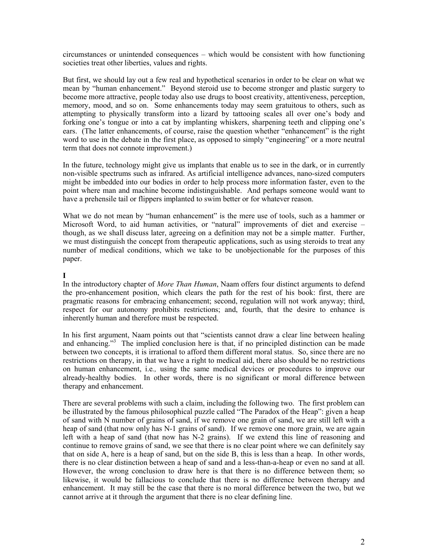circumstances or unintended consequences – which would be consistent with how functioning societies treat other liberties, values and rights.

 memory, mood, and so on. Some enhancements today may seem gratuitous to others, such as But first, we should lay out a few real and hypothetical scenarios in order to be clear on what we mean by "human enhancement." Beyond steroid use to become stronger and plastic surgery to become more attractive, people today also use drugs to boost creativity, attentiveness, perception, attempting to physically transform into a lizard by tattooing scales all over one's body and forking one's tongue or into a cat by implanting whiskers, sharpening teeth and clipping one's ears. (The latter enhancements, of course, raise the question whether "enhancement" is the right word to use in the debate in the first place, as opposed to simply "engineering" or a more neutral term that does not connote improvement.)

In the future, technology might give us implants that enable us to see in the dark, or in currently non-visible spectrums such as infrared. As artificial intelligence advances, nano-sized computers might be imbedded into our bodies in order to help process more information faster, even to the point where man and machine become indistinguishable. And perhaps someone would want to have a prehensile tail or flippers implanted to swim better or for whatever reason.

What we do not mean by "human enhancement" is the mere use of tools, such as a hammer or Microsoft Word, to aid human activities, or "natural" improvements of diet and exercise – though, as we shall discuss later, agreeing on a definition may not be a simple matter. Further, we must distinguish the concept from therapeutic applications, such as using steroids to treat any number of medical conditions, which we take to be unobjectionable for the purposes of this paper.

## **I**

In the introductory chapter of *More Than Human*, Naam offers four distinct arguments to defend the pro-enhancement position, which clears the path for the rest of his book: first, there are pragmatic reasons for embracing enhancement; second, regulation will not work anyway; third, respect for our autonomy prohibits restrictions; and, fourth, that the desire to enhance is inherently human and therefore must be respected.

and enhancing."<sup>3</sup> The implied conclusion here is that, if no principled distinction can be made In his first argument, Naam points out that "scientists cannot draw a clear line between healing between two concepts, it is irrational to afford them different moral status. So, since there are no restrictions on therapy, in that we have a right to medical aid, there also should be no restrictions on human enhancement, i.e*.,* using the same medical devices or procedures to improve our already-healthy bodies. In other words, there is no significant or moral difference between therapy and enhancement.

There are several problems with such a claim, including the following two. The first problem can be illustrated by the famous philosophical puzzle called "The Paradox of the Heap": given a heap of sand with N number of grains of sand, if we remove one grain of sand, we are still left with a heap of sand (that now only has N-1 grains of sand). If we remove one more grain, we are again left with a heap of sand (that now has N-2 grains). If we extend this line of reasoning and continue to remove grains of sand, we see that there is no clear point where we can definitely say that on side A, here is a heap of sand, but on the side B, this is less than a heap. In other words, there is no clear distinction between a heap of sand and a less-than-a-heap or even no sand at all. However, the wrong conclusion to draw here is that there is no difference between them; so likewise, it would be fallacious to conclude that there is no difference between therapy and enhancement. It may still be the case that there is no moral difference between the two, but we cannot arrive at it through the argument that there is no clear defining line.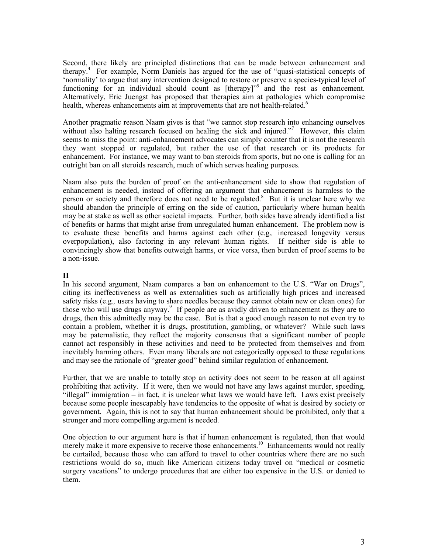therapy.4 For example, Norm Daniels has argued for the use of "quasi-statistical concepts of Second, there likely are principled distinctions that can be made between enhancement and 'normality' to argue that any intervention designed to restore or preserve a species-typical level of functioning for an individual should count as [therapy]<sup>75</sup> and the rest as enhancement. Alternatively, Eric Juengst has proposed that therapies aim at pathologies which compromise health, whereas enhancements aim at improvements that are not health-related.<sup>6</sup>

without also halting research focused on healing the sick and injured."<sup>7</sup> However, this claim Another pragmatic reason Naam gives is that "we cannot stop research into enhancing ourselves seems to miss the point: anti-enhancement advocates can simply counter that it is not the research they want stopped or regulated, but rather the use of that research or its products for enhancement. For instance, we may want to ban steroids from sports, but no one is calling for an outright ban on all steroids research, much of which serves healing purposes.

person or society and therefore does not need to be regulated.<sup>8</sup> But it is unclear here why we Naam also puts the burden of proof on the anti-enhancement side to show that regulation of enhancement is needed, instead of offering an argument that enhancement is harmless to the should abandon the principle of erring on the side of caution, particularly where human health may be at stake as well as other societal impacts. Further, both sides have already identified a list of benefits or harms that might arise from unregulated human enhancement. The problem now is to evaluate these benefits and harms against each other (e.g.*,* increased longevity versus overpopulation), also factoring in any relevant human rights. If neither side is able to convincingly show that benefits outweigh harms, or vice versa, then burden of proof seems to be a non-issue.

## **II**

those who will use drugs anyway.<sup>9</sup> If people are as avidly driven to enhancement as they are to contain a problem, whether it is drugs, prostitution, gambling, or whatever? While such laws In his second argument, Naam compares a ban on enhancement to the U.S. "War on Drugs", citing its ineffectiveness as well as externalities such as artificially high prices and increased safety risks (e.g*.,* users having to share needles because they cannot obtain new or clean ones) for drugs, then this admittedly may be the case. But is that a good enough reason to not even try to may be paternalistic, they reflect the majority consensus that a significant number of people cannot act responsibly in these activities and need to be protected from themselves and from inevitably harming others. Even many liberals are not categorically opposed to these regulations and may see the rationale of "greater good" behind similar regulation of enhancement.

 "illegal" immigration – in fact, it is unclear what laws we would have left. Laws exist precisely Further, that we are unable to totally stop an activity does not seem to be reason at all against prohibiting that activity. If it were, then we would not have any laws against murder, speeding, because some people inescapably have tendencies to the opposite of what is desired by society or government. Again, this is not to say that human enhancement should be prohibited, only that a stronger and more compelling argument is needed.

merely make it more expensive to receive those enhancements.<sup>10</sup> Enhancements would not really One objection to our argument here is that if human enhancement is regulated, then that would be curtailed, because those who can afford to travel to other countries where there are no such restrictions would do so, much like American citizens today travel on "medical or cosmetic surgery vacations" to undergo procedures that are either too expensive in the U.S. or denied to them.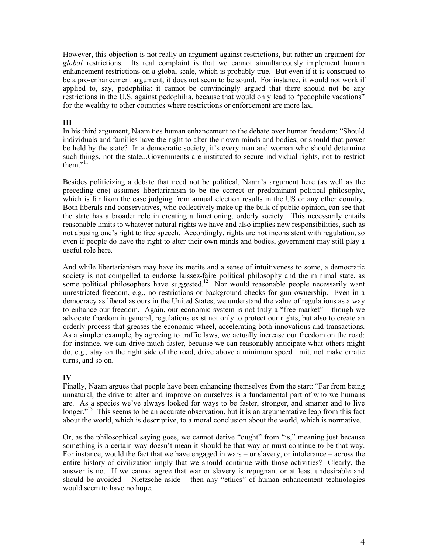*global* restrictions. Its real complaint is that we cannot simultaneously implement human However, this objection is not really an argument against restrictions, but rather an argument for enhancement restrictions on a global scale, which is probably true. But even if it is construed to be a pro-enhancement argument, it does not seem to be sound. For instance, it would not work if applied to, say, pedophilia: it cannot be convincingly argued that there should not be any restrictions in the U.S. against pedophilia, because that would only lead to "pedophile vacations" for the wealthy to other countries where restrictions or enforcement are more lax.

## **III**

them." $11$ In his third argument, Naam ties human enhancement to the debate over human freedom: "Should individuals and families have the right to alter their own minds and bodies, or should that power be held by the state? In a democratic society, it's every man and woman who should determine such things, not the state...Governments are instituted to secure individual rights, not to restrict

Besides politicizing a debate that need not be political, Naam's argument here (as well as the preceding one) assumes libertarianism to be the correct or predominant political philosophy, which is far from the case judging from annual election results in the US or any other country. Both liberals and conservatives, who collectively make up the bulk of public opinion, can see that the state has a broader role in creating a functioning, orderly society. This necessarily entails reasonable limits to whatever natural rights we have and also implies new responsibilities, such as not abusing one's right to free speech. Accordingly, rights are not inconsistent with regulation, so even if people do have the right to alter their own minds and bodies, government may still play a useful role here.

some political philosophers have suggested.<sup>12</sup> Nor would reasonable people necessarily want And while libertarianism may have its merits and a sense of intuitiveness to some, a democratic society is not compelled to endorse laissez-faire political philosophy and the minimal state, as unrestricted freedom, e.g., no restrictions or background checks for gun ownership. Even in a democracy as liberal as ours in the United States, we understand the value of regulations as a way to enhance our freedom. Again, our economic system is not truly a "free market" – though we advocate freedom in general, regulations exist not only to protect our rights, but also to create an orderly process that greases the economic wheel, accelerating both innovations and transactions. As a simpler example, by agreeing to traffic laws, we actually increase our freedom on the road: for instance, we can drive much faster, because we can reasonably anticipate what others might do, e.g.*,* stay on the right side of the road, drive above a minimum speed limit, not make erratic turns, and so on.

## **IV**

longer."<sup>13</sup> This seems to be an accurate observation, but it is an argumentative leap from this fact Finally, Naam argues that people have been enhancing themselves from the start: "Far from being unnatural, the drive to alter and improve on ourselves is a fundamental part of who we humans are. As a species we've always looked for ways to be faster, stronger, and smarter and to live about the world, which is descriptive, to a moral conclusion about the world, which is normative.

Or, as the philosophical saying goes, we cannot derive "ought" from "is," meaning just because something is a certain way doesn't mean it should be that way or must continue to be that way. For instance, would the fact that we have engaged in wars – or slavery, or intolerance – across the entire history of civilization imply that we should continue with those activities? Clearly, the answer is no. If we cannot agree that war or slavery is repugnant or at least undesirable and should be avoided – Nietzsche aside – then any "ethics" of human enhancement technologies would seem to have no hope.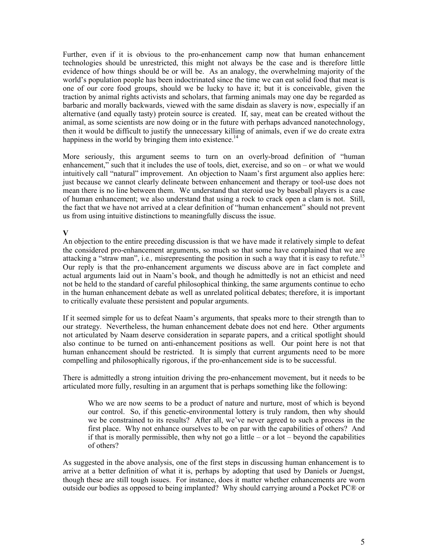Further, even if it is obvious to the pro-enhancement camp now that human enhancement technologies should be unrestricted, this might not always be the case and is therefore little evidence of how things should be or will be. As an analogy, the overwhelming majority of the world's population people has been indoctrinated since the time we can eat solid food that meat is one of our core food groups, should we be lucky to have it; but it is conceivable, given the traction by animal rights activists and scholars, that farming animals may one day be regarded as barbaric and morally backwards, viewed with the same disdain as slavery is now, especially if an alternative (and equally tasty) protein source is created. If, say, meat can be created without the animal, as some scientists are now doing or in the future with perhaps advanced nanotechnology, then it would be difficult to justify the unnecessary killing of animals, even if we do create extra happiness in the world by bringing them into existence.<sup>14</sup>

 of human enhancement; we also understand that using a rock to crack open a clam is not. Still, More seriously, this argument seems to turn on an overly-broad definition of "human enhancement," such that it includes the use of tools, diet, exercise, and so on – or what we would intuitively call "natural" improvement. An objection to Naam's first argument also applies here: just because we cannot clearly delineate between enhancement and therapy or tool-use does not mean there is no line between them. We understand that steroid use by baseball players is a case the fact that we have not arrived at a clear definition of "human enhancement" should not prevent us from using intuitive distinctions to meaningfully discuss the issue.

## **V**

attacking a "straw man", i.e., misrepresenting the position in such a way that it is easy to refute.<sup>15</sup> An objection to the entire preceding discussion is that we have made it relatively simple to defeat the considered pro-enhancement arguments, so much so that some have complained that we are Our reply is that the pro-enhancement arguments we discuss above are in fact complete and actual arguments laid out in Naam's book, and though he admittedly is not an ethicist and need not be held to the standard of careful philosophical thinking, the same arguments continue to echo in the human enhancement debate as well as unrelated political debates; therefore, it is important to critically evaluate these persistent and popular arguments.

 human enhancement should be restricted. It is simply that current arguments need to be more If it seemed simple for us to defeat Naam's arguments, that speaks more to their strength than to our strategy. Nevertheless, the human enhancement debate does not end here. Other arguments not articulated by Naam deserve consideration in separate papers, and a critical spotlight should also continue to be turned on anti-enhancement positions as well. Our point here is not that compelling and philosophically rigorous, if the pro-enhancement side is to be successful.

There is admittedly a strong intuition driving the pro-enhancement movement, but it needs to be articulated more fully, resulting in an argument that is perhaps something like the following:

 first place. Why not enhance ourselves to be on par with the capabilities of others? And Who we are now seems to be a product of nature and nurture, most of which is beyond our control. So, if this genetic-environmental lottery is truly random, then why should we be constrained to its results? After all, we've never agreed to such a process in the if that is morally permissible, then why not go a little – or a lot – beyond the capabilities of others?

As suggested in the above analysis, one of the first steps in discussing human enhancement is to arrive at a better definition of what it is, perhaps by adopting that used by Daniels or Juengst, though these are still tough issues. For instance, does it matter whether enhancements are worn outside our bodies as opposed to being implanted? Why should carrying around a Pocket PC® or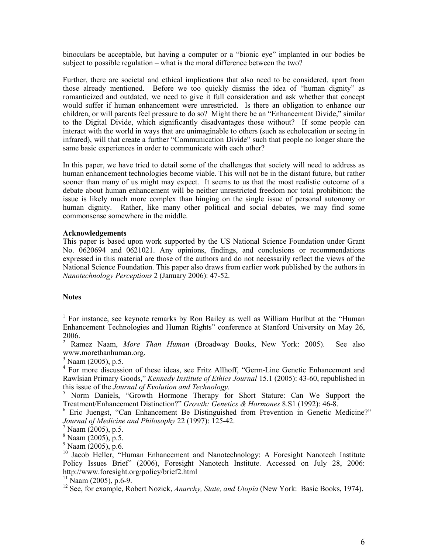binoculars be acceptable, but having a computer or a "bionic eye" implanted in our bodies be subject to possible regulation – what is the moral difference between the two?

 to the Digital Divide, which significantly disadvantages those without? If some people can Further, there are societal and ethical implications that also need to be considered, apart from those already mentioned. Before we too quickly dismiss the idea of "human dignity" as romanticized and outdated, we need to give it full consideration and ask whether that concept would suffer if human enhancement were unrestricted. Is there an obligation to enhance our children, or will parents feel pressure to do so? Might there be an "Enhancement Divide," similar interact with the world in ways that are unimaginable to others (such as echolocation or seeing in infrared), will that create a further "Communication Divide" such that people no longer share the same basic experiences in order to communicate with each other?

 human dignity. Rather, like many other political and social debates, we may find some In this paper, we have tried to detail some of the challenges that society will need to address as human enhancement technologies become viable. This will not be in the distant future, but rather sooner than many of us might may expect. It seems to us that the most realistic outcome of a debate about human enhancement will be neither unrestricted freedom nor total prohibition: the issue is likely much more complex than hinging on the single issue of personal autonomy or commonsense somewhere in the middle.

#### **Acknowledgements**

This paper is based upon work supported by the US National Science Foundation under Grant No. 0620694 and 0621021. Any opinions, findings, and conclusions or recommendations expressed in this material are those of the authors and do not necessarily reflect the views of the National Science Foundation. This paper also draws from earlier work published by the authors in *Nanotechnology Perceptions* 2 (January 2006): 47-52.

## **Notes**

<sup>1</sup> For instance, see keynote remarks by Ron Bailey as well as William Hurlbut at the "Human" Enhancement Technologies and Human Rights" conference at Stanford University on May 26,

2006. 2 Ramez Naam, *More Than Human* (Broadway Books, New York: 2005). See also www.morethanhuman.org. 3 Naam (2005), p.5.

 $3 \text{ Naam}$  (2005), p.5.<br> $4 \text{ For more discussion of these ideas, see Fritz Allhoff, "Germ-Line Genetic enhancement and}]$ Rawlsian Primary Goods," *Kennedy Institute of Ethics Journal* 15.1 (2005): 43-60, republished in this issue of the *Journal of Evolution and Technology*.

 5 Norm Daniels, "Growth Hormone Therapy for Short Stature: Can We Support the Treatment/Enhancement Distinction?" *Growth: Genetics & Hormones* 8.S1 (1992): 46-8.

 6 Eric Juengst, "Can Enhancement Be Distinguished from Prevention in Genetic Medicine?" *Journal of Medicine and Philosophy* 22 (1997): 125-42. 7 Naam (2005), p.5.

 $\frac{7}{8}$  Naam (2005), p.5.<br>  $\frac{8}{8}$  Naam (2005), p.5.

 $^{9}$  Naam (2005), p.6.

<sup>9</sup> Naam (2005), p.6.<br><sup>10</sup> Jacob Heller, "Human Enhancement and Nanotechnology: A Foresight Nanotech Institute Policy Issues Brief" (2006), Foresight Nanotech Institute. Accessed on July 28, 2006: http://www.foresight.org/policy/brief2.html<br><sup>11</sup> Naam (2005), p.6-9.

<sup>11</sup> Naam (2005), p.6-9.<br><sup>12</sup> See, for example, Robert Nozick, *Anarchy, State, and Utopia* (New York: Basic Books, 1974).